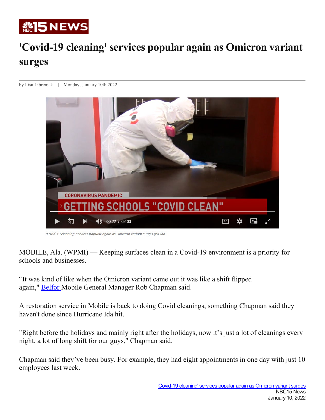

## **'Covid-19 cleaning' services popular again as Omicron variant surges**

by Lisa Librenjak | Monday, January 10th 2022



'Covid-19 cleaning' services popular again as Omicron variant surges (WPMI)

MOBILE, Ala. (WPMI) — Keeping surfaces clean in a Covid-19 environment is a priority for schools and businesses.

"It was kind of like when the Omicron variant came out it was like a shift flipped again," [Belfor](https://www.belfor.com/en/us) Mobile General Manager Rob Chapman said.

A restoration service in Mobile is back to doing Covid cleanings, something Chapman said they haven't done since Hurricane Ida hit.

"Right before the holidays and mainly right after the holidays, now it's just a lot of cleanings every night, a lot of long shift for our guys," Chapman said.

Chapman said they've been busy. For example, they had eight appointments in one day with just 10 employees last week.